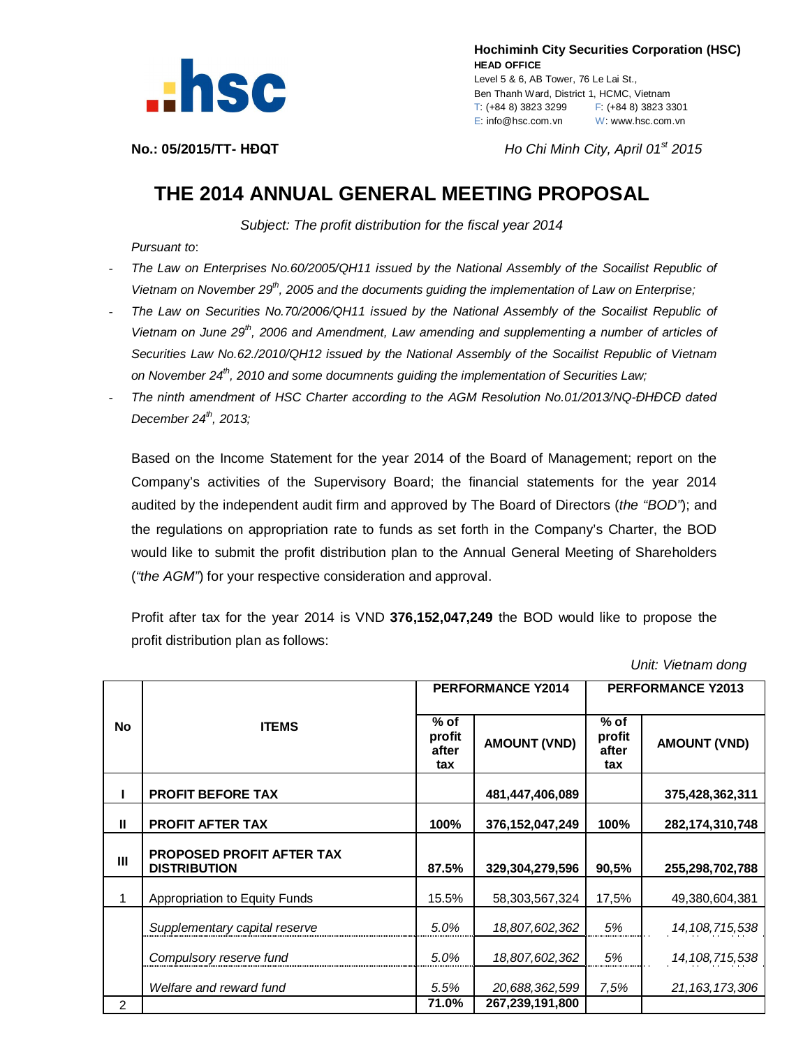

 **Hochiminh City Securities Corporation (HSC) HEAD OFFICE** Level 5 & 6, AB Tower, 76 Le Lai St., Ben Thanh Ward, District 1, HCMC, Vietnam T: (+84 8) 3823 3299 F: (+84 8) 3823 3301 E: info@hsc.com.vn W: www.hsc.com.vn

**No.: 05/2015/TT- HĐQT** *Ho Chi Minh City, April 01st 2015*

## **THE 2014 ANNUAL GENERAL MEETING PROPOSAL**

*Subject: The profit distribution for the fiscal year 2014*

*Pursuant to*:

- *The Law on Enterprises No.60/2005/QH11 issued by the National Assembly of the Socailist Republic of Vietnam on November 29th, 2005 and the documents guiding the implementation of Law on Enterprise;*
- *The Law on Securities No.70/2006/QH11 issued by the National Assembly of the Socailist Republic of Vietnam on June 29th, 2006 and Amendment, Law amending and supplementing a number of articles of Securities Law No.62./2010/QH12 issued by the National Assembly of the Socailist Republic of Vietnam on November 24th, 2010 and some documnents guiding the implementation of Securities Law;*
- *The ninth amendment of HSC Charter according to the AGM Resolution No.01/2013/NQ-ĐHĐCĐ dated December 24 th, 2013;*

Based on the Income Statement for the year 2014 of the Board of Management; report on the Company's activities of the Supervisory Board; the financial statements for the year 2014 audited by the independent audit firm and approved by The Board of Directors (*the "BOD"*); and the regulations on appropriation rate to funds as set forth in the Company's Charter, the BOD would like to submit the profit distribution plan to the Annual General Meeting of Shareholders (*"the AGM"*) for your respective consideration and approval.

Profit after tax for the year 2014 is VND **376,152,047,249** the BOD would like to propose the profit distribution plan as follows:

 *Unit: Vietnam dong*

|           | <b>ITEMS</b>                                            | <b>PERFORMANCE Y2014</b>         |                     | <b>PERFORMANCE Y2013</b>         |                     |
|-----------|---------------------------------------------------------|----------------------------------|---------------------|----------------------------------|---------------------|
| <b>No</b> |                                                         | $%$ of<br>profit<br>after<br>tax | <b>AMOUNT (VND)</b> | $%$ of<br>profit<br>after<br>tax | <b>AMOUNT (VND)</b> |
|           | <b>PROFIT BEFORE TAX</b>                                |                                  | 481,447,406,089     |                                  | 375,428,362,311     |
| Ш         | <b>PROFIT AFTER TAX</b>                                 | 100%                             | 376, 152, 047, 249  | 100%                             | 282, 174, 310, 748  |
| Ш         | <b>PROPOSED PROFIT AFTER TAX</b><br><b>DISTRIBUTION</b> | 87.5%                            | 329,304,279,596     | 90,5%                            | 255,298,702,788     |
| 1         | Appropriation to Equity Funds                           | 15.5%                            | 58,303,567,324      | 17,5%                            | 49,380,604,381      |
|           | Supplementary capital reserve                           | 5.0%                             | 18,807,602,362      | 5%                               | 14, 108, 715, 538   |
|           | Compulsory reserve fund                                 | 5.0%                             | 18,807,602,362      | 5%                               | 14, 108, 715, 538   |
|           | Welfare and reward fund                                 | 5.5%                             | 20,688,362,599      | 7,5%                             | 21, 163, 173, 306   |
| 2         |                                                         | 71.0%                            | 267,239,191,800     |                                  |                     |